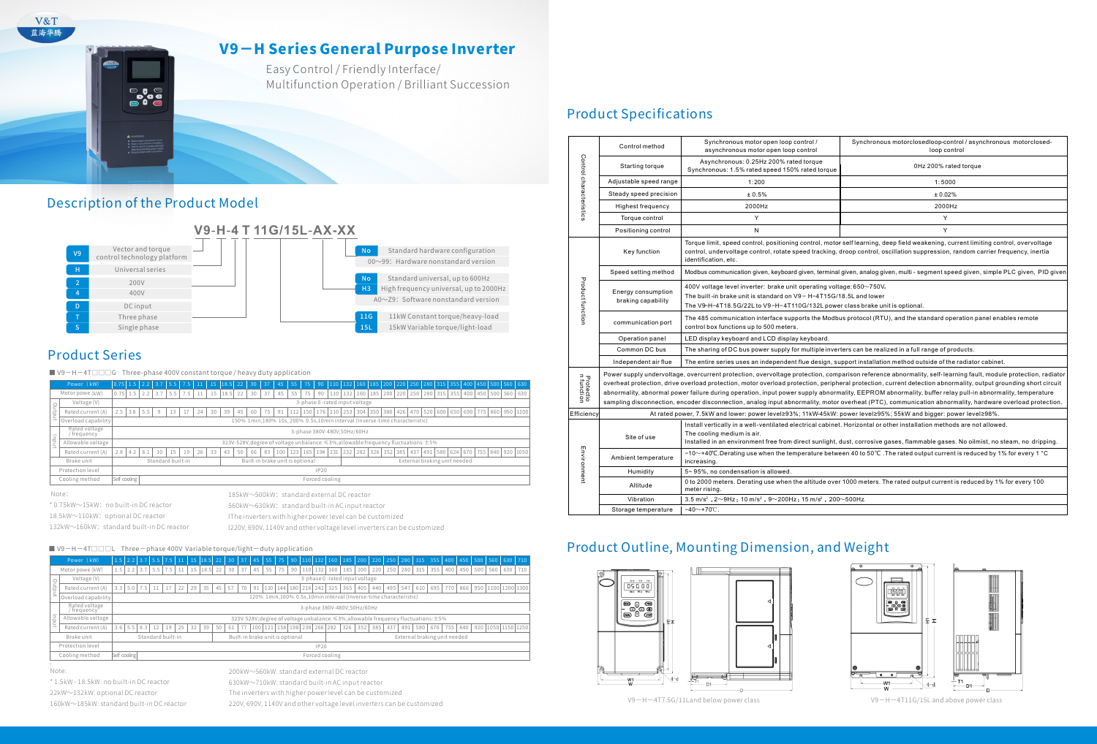# V9−H Series General Purpose Inverter

Easy Control / Friendly Interface/ Multifunction Operation / Brilliant Succession

### Description of the Product Model



## **Product Series**

V&T 蓝海华腾

■ V9-H-4T□□G Three-phase 400V constant torque / heavy duty application

\*1.5kW-18.5kW:nobuilt-inDCreactor 22kW∼132kW: optional DC reactor 160kW∼185kW: standard built-in DC reactor

The inverters with higher power level can be customized

220V, 690V, 1140V and other voltage level inverters can be customized

# **Product Specifications**

132kW∼160kW: standard built-in DC reactor l220V,690V,1140Vandothervoltagelevelinverterscanbecustomized

#### ■ V9−H−4T□□□L Three−phase 400V Variable torque/light-duty application

|        | Power (kW)                  | $0.75$ 1.5 2.2                            |                             |     | 3.7               | 15.5 | 7.5 |    |    | $15$ 18.5 22 |    | 30 <sup>°</sup> | 37 | 45  | 55 <sub>1</sub> | 75                              |             | $90$   110 |           | 132 160 185 200 220 250 280 315 355 400 450 500 560 630                                       |  |             |  |                                                      |  |  |                  |     |
|--------|-----------------------------|-------------------------------------------|-----------------------------|-----|-------------------|------|-----|----|----|--------------|----|-----------------|----|-----|-----------------|---------------------------------|-------------|------------|-----------|-----------------------------------------------------------------------------------------------|--|-------------|--|------------------------------------------------------|--|--|------------------|-----|
|        | Motor powe (kW)             | 0.75                                      | 1.5                         |     |                   | 5.5  | 7.5 |    | 15 | 18.5         | 22 | 30              | 37 | 45  | 55              |                                 | 90          |            | 110   132 | 160 185 200                                                                                   |  | 220 250     |  | 280 315 355 400                                      |  |  | 450 500 560      | 630 |
|        | Voltage (V)                 |                                           |                             |     |                   |      |     |    |    |              |    |                 |    |     |                 |                                 |             |            |           | 3-phase 0-rated input voltage                                                                 |  |             |  |                                                      |  |  |                  |     |
| Output | Rated current (A)           | 2.5                                       | 3.8                         | 5.5 | 9                 |      |     | 24 | 30 | 39           | 45 | 60              | 75 | 91  |                 |                                 | 176         |            |           | 210 253 304 350                                                                               |  | 380 426 470 |  | 520 600 650 690                                      |  |  | 775 860 950 1100 |     |
|        | Overload capability         |                                           |                             |     |                   |      |     |    |    |              |    |                 |    |     |                 |                                 |             |            |           | 150% 1min.180% 10s, 200% 0.5s.10min interval (Inverse-time characteristic)                    |  |             |  |                                                      |  |  |                  |     |
|        | Rated voltage<br>/frequency |                                           | 3-phase 380V-480V;50Hz/60Hz |     |                   |      |     |    |    |              |    |                 |    |     |                 |                                 |             |            |           |                                                                                               |  |             |  |                                                      |  |  |                  |     |
| uput   | Allowable voltage           |                                           |                             |     |                   |      |     |    |    |              |    |                 |    |     |                 |                                 |             |            |           | 323V-528V; degree of voltage unbalance: $\leq$ 3%; allowable frequency fluctuations: $\pm$ 5% |  |             |  |                                                      |  |  |                  |     |
|        | Rated current (A)           | 2.8                                       | 4.2                         | 6.1 | 10                | 15   | 19  | 26 | 33 | 43           | 50 | 66              | 83 | 100 | 123             | 165                             | 194         |            | 231 232   |                                                                                               |  |             |  | 282 326 352 385 437 491 580 624 670 755 840 920 1050 |  |  |                  |     |
|        | Brake unit                  |                                           |                             |     | Standard built-in |      |     |    |    |              |    |                 |    |     |                 | Built-in brake unit is optional |             |            |           |                                                                                               |  |             |  | External braking unit needed                         |  |  |                  |     |
|        | Protection level            |                                           |                             |     |                   |      |     |    |    |              |    |                 |    |     |                 |                                 | <b>IP20</b> |            |           |                                                                                               |  |             |  |                                                      |  |  |                  |     |
|        | Cooling method              | Self cooling<br>Forced cooling            |                             |     |                   |      |     |    |    |              |    |                 |    |     |                 |                                 |             |            |           |                                                                                               |  |             |  |                                                      |  |  |                  |     |
|        | Note:                       | 185kW~500kW: standard external DC reactor |                             |     |                   |      |     |    |    |              |    |                 |    |     |                 |                                 |             |            |           |                                                                                               |  |             |  |                                                      |  |  |                  |     |

\*0.75kW〜15kW:nobuilt-inDCreactor

18.5kW∼110kW: optional DC reactor

lThe inverters with higher power level can be customized

560kW∼630kW: standard built-in AC input reactor

|                  | Power (kW)                                       |                                                                                    |  |           | $1.5$ 2.2 3.7 5.5 7.5 11 |    |          |    |              |             |    |     |    |                                 |  |  |                                        |                                                                  |     |                 |                  |     |     | 15   18.5   22   30   37   45   55   75   90   110   132   160   185   200   220   230   318   355   400   450   500   560   630   710 |  |                        |     |     |
|------------------|--------------------------------------------------|------------------------------------------------------------------------------------|--|-----------|--------------------------|----|----------|----|--------------|-------------|----|-----|----|---------------------------------|--|--|----------------------------------------|------------------------------------------------------------------|-----|-----------------|------------------|-----|-----|----------------------------------------------------------------------------------------------------------------------------------------|--|------------------------|-----|-----|
|                  | Motor powe (kW)                                  |                                                                                    |  |           | $1.5$   2.2   3.7   5.5  |    | $7.5$ 11 |    | $15$ 18.5 22 |             | 30 | 37  | 45 |                                 |  |  | 55   75   90   110   132   160         |                                                                  |     | 185 200 220 250 |                  |     |     | 280 315 355 400                                                                                                                        |  | 450 500 560            | 630 | 710 |
|                  | Voltage (V)                                      |                                                                                    |  |           |                          |    |          |    |              |             |    |     |    |                                 |  |  |                                        | 3-phase 0 -rated input voltage                                   |     |                 |                  |     |     |                                                                                                                                        |  |                        |     |     |
| ₩                | Rated current (A)                                | $3.3 \perp$                                                                        |  | $5.0$ 7.5 |                          |    | 22       | 29 | 35           | 45          | 57 | 170 |    |                                 |  |  | 91   110   144   180   216   242   325 | 365                                                              | 405 | 440             | 495 <sup>1</sup> |     |     | 547 610 695 770                                                                                                                        |  | 866 950 1100 1200 1300 |     |     |
| $\rightarrow$    | Overload capability                              |                                                                                    |  |           |                          |    |          |    |              |             |    |     |    |                                 |  |  |                                        | 120% 1min,160% 0.5s,10min interval (Inverse-time characteristic) |     |                 |                  |     |     |                                                                                                                                        |  |                        |     |     |
|                  | Rated voltage<br>/ frequency`                    | 3-phase 380V-480V;50Hz/60Hz                                                        |  |           |                          |    |          |    |              |             |    |     |    |                                 |  |  |                                        |                                                                  |     |                 |                  |     |     |                                                                                                                                        |  |                        |     |     |
| 킁                | Allowable voltage                                | 323V-528V; degree of voltage unbalance: ≤3%; allowable frequency fluctuations: ±5% |  |           |                          |    |          |    |              |             |    |     |    |                                 |  |  |                                        |                                                                  |     |                 |                  |     |     |                                                                                                                                        |  |                        |     |     |
|                  | Rated current (A)                                | 3.6 <sub>1</sub>                                                                   |  | $5.5$ 8.3 | 12                       | 19 | 125      | 32 | 39           | 50          | 61 |     |    |                                 |  |  | 100 121 158 198 238 266 282            |                                                                  |     | 326 352 385     | 437              | 491 | 580 | 670 755                                                                                                                                |  | 840 920 1050 1150 1250 |     |     |
|                  | Brake unit                                       |                                                                                    |  |           | Standard built-in        |    |          |    |              |             |    |     |    | Built-in brake unit is optional |  |  |                                        |                                                                  |     |                 |                  |     |     | External braking unit needed                                                                                                           |  |                        |     |     |
| Protection level |                                                  |                                                                                    |  |           |                          |    |          |    |              | <b>IP20</b> |    |     |    |                                 |  |  |                                        |                                                                  |     |                 |                  |     |     |                                                                                                                                        |  |                        |     |     |
|                  | Cooling method<br>Self cooling<br>Forced cooling |                                                                                    |  |           |                          |    |          |    |              |             |    |     |    |                                 |  |  |                                        |                                                                  |     |                 |                  |     |     |                                                                                                                                        |  |                        |     |     |

Note:

200kW∼560kW: standard external DC reactor

630kW〜710kW:standardbuilt-inACinputreactor

V9−H−4T7.5G/11Landbelowpowerclass V9−H−4T11G/15Landabovepowerclass

|                         | Control method                                                                                                                                                                                                                                                                                               | Synchronous motor open loop control /<br>asynchronous motor open loop control                                                                                                                                                                                                            | Synchronous motorclosedloop-control / asynchronous motorclosed-<br>loop control                                                                                                                                                                                                                                                                                                                                                                                                                                                                                                                                                                        |  |  |  |  |  |  |  |  |  |
|-------------------------|--------------------------------------------------------------------------------------------------------------------------------------------------------------------------------------------------------------------------------------------------------------------------------------------------------------|------------------------------------------------------------------------------------------------------------------------------------------------------------------------------------------------------------------------------------------------------------------------------------------|--------------------------------------------------------------------------------------------------------------------------------------------------------------------------------------------------------------------------------------------------------------------------------------------------------------------------------------------------------------------------------------------------------------------------------------------------------------------------------------------------------------------------------------------------------------------------------------------------------------------------------------------------------|--|--|--|--|--|--|--|--|--|
| Control characteristics | Starting torque                                                                                                                                                                                                                                                                                              | Asynchronous: 0.25Hz 200% rated torque<br>Synchronous: 1.5% rated speed 150% rated torque                                                                                                                                                                                                | 0Hz 200% rated torque                                                                                                                                                                                                                                                                                                                                                                                                                                                                                                                                                                                                                                  |  |  |  |  |  |  |  |  |  |
|                         | Adjustable speed range                                                                                                                                                                                                                                                                                       | 1:200                                                                                                                                                                                                                                                                                    | 1:5000                                                                                                                                                                                                                                                                                                                                                                                                                                                                                                                                                                                                                                                 |  |  |  |  |  |  |  |  |  |
|                         | Steady speed precision                                                                                                                                                                                                                                                                                       | ± 0.5%                                                                                                                                                                                                                                                                                   | ± 0.02%                                                                                                                                                                                                                                                                                                                                                                                                                                                                                                                                                                                                                                                |  |  |  |  |  |  |  |  |  |
|                         | <b>Highest frequency</b>                                                                                                                                                                                                                                                                                     | 2000Hz                                                                                                                                                                                                                                                                                   | 2000Hz                                                                                                                                                                                                                                                                                                                                                                                                                                                                                                                                                                                                                                                 |  |  |  |  |  |  |  |  |  |
|                         | Torque control                                                                                                                                                                                                                                                                                               | Υ<br>Υ                                                                                                                                                                                                                                                                                   |                                                                                                                                                                                                                                                                                                                                                                                                                                                                                                                                                                                                                                                        |  |  |  |  |  |  |  |  |  |
|                         | Positioning control                                                                                                                                                                                                                                                                                          | N                                                                                                                                                                                                                                                                                        | Y                                                                                                                                                                                                                                                                                                                                                                                                                                                                                                                                                                                                                                                      |  |  |  |  |  |  |  |  |  |
|                         | Torque limit, speed control, positioning control, motor selflearning, deep field weakening, current limiting control, overvoltage<br>Key function<br>control, undervoltage control, rotate speed tracking, droop control, oscillation suppression, random carrier frequency, inertia<br>identification, etc. |                                                                                                                                                                                                                                                                                          |                                                                                                                                                                                                                                                                                                                                                                                                                                                                                                                                                                                                                                                        |  |  |  |  |  |  |  |  |  |
|                         | Speed setting method                                                                                                                                                                                                                                                                                         | Modbus communication given, keyboard given, terminal given, analog given, multi - segment speed given, simple PLC given, PID given                                                                                                                                                       |                                                                                                                                                                                                                                                                                                                                                                                                                                                                                                                                                                                                                                                        |  |  |  |  |  |  |  |  |  |
| Product function        | 400V voltage level inverter: brake unit operating voltage: 650~750V.<br>Energy consumption<br>The built-in brake unit is standard on V9 - H-4T15G/18.5L and lower<br>braking capability<br>The V9-H-4T18.5G/22L to V9-H-4T110G/132L power class brake unit is optional.                                      |                                                                                                                                                                                                                                                                                          |                                                                                                                                                                                                                                                                                                                                                                                                                                                                                                                                                                                                                                                        |  |  |  |  |  |  |  |  |  |
|                         | communication port                                                                                                                                                                                                                                                                                           | The 485 communication interface supports the Modbus protocol (RTU), and the standard operation panel enables remote<br>control box functions up to 500 meters.                                                                                                                           |                                                                                                                                                                                                                                                                                                                                                                                                                                                                                                                                                                                                                                                        |  |  |  |  |  |  |  |  |  |
|                         | Operation panel                                                                                                                                                                                                                                                                                              | LED display keyboard and LCD display keyboard.                                                                                                                                                                                                                                           |                                                                                                                                                                                                                                                                                                                                                                                                                                                                                                                                                                                                                                                        |  |  |  |  |  |  |  |  |  |
|                         | Common DC bus                                                                                                                                                                                                                                                                                                | The sharing of DC bus power supply for multiple inverters can be realized in a full range of products.                                                                                                                                                                                   |                                                                                                                                                                                                                                                                                                                                                                                                                                                                                                                                                                                                                                                        |  |  |  |  |  |  |  |  |  |
|                         | Independent air flue                                                                                                                                                                                                                                                                                         | The entire series uses an independent flue design, support installation method outside of the radiator cabinet.                                                                                                                                                                          |                                                                                                                                                                                                                                                                                                                                                                                                                                                                                                                                                                                                                                                        |  |  |  |  |  |  |  |  |  |
| Protectio<br>n function |                                                                                                                                                                                                                                                                                                              |                                                                                                                                                                                                                                                                                          | Power supply undervoltage, overcurrent protection, overvoltage protection, comparison reference abnormality, self-learning fault, module protection, radiator<br>overheat protection, drive overload protection, motor overload protection, peripheral protection, current detection abnormality, output grounding short circuit<br>abnormality, abnormal power failure during operation, input power supply abnormality, EEPROM abnormality, buffer relay pull-in abnormality, temperature<br>sampling disconnection, encoder disconnection, analog input abnormality, motor overheat (PTC), communication abnormality, hardware overload protection. |  |  |  |  |  |  |  |  |  |
| Efficiency              |                                                                                                                                                                                                                                                                                                              | At rated power, 7.5kW and lower: power level≥93%; 11kW-45kW: power level≥95%; 55kW and bigger: power level≥98%.                                                                                                                                                                          |                                                                                                                                                                                                                                                                                                                                                                                                                                                                                                                                                                                                                                                        |  |  |  |  |  |  |  |  |  |
|                         | Site of use                                                                                                                                                                                                                                                                                                  | Install vertically in a well-ventilated electrical cabinet. Horizontal or other installation methods are not allowed.<br>The cooling medium is air.<br>Installed in an environment free from direct sunlight, dust, corrosive gases, flammable gases. No oilmist, no steam, no dripping. |                                                                                                                                                                                                                                                                                                                                                                                                                                                                                                                                                                                                                                                        |  |  |  |  |  |  |  |  |  |
| Environment             | Ambient temperature                                                                                                                                                                                                                                                                                          | -10~+40°C. Derating use when the temperature between 40 to 50°C. The rated output current is reduced by 1% for every 1 °C<br>increasing.                                                                                                                                                 |                                                                                                                                                                                                                                                                                                                                                                                                                                                                                                                                                                                                                                                        |  |  |  |  |  |  |  |  |  |
|                         | 5~95%, no condensation is allowed.<br>Humidity                                                                                                                                                                                                                                                               |                                                                                                                                                                                                                                                                                          |                                                                                                                                                                                                                                                                                                                                                                                                                                                                                                                                                                                                                                                        |  |  |  |  |  |  |  |  |  |
|                         | Altitude                                                                                                                                                                                                                                                                                                     | 0 to 2000 meters. Derating use when the altitude over 1000 meters. The rated output current is reduced by 1% for every 100<br>meter rising.                                                                                                                                              |                                                                                                                                                                                                                                                                                                                                                                                                                                                                                                                                                                                                                                                        |  |  |  |  |  |  |  |  |  |
|                         | Vibration                                                                                                                                                                                                                                                                                                    | 3.5 m/s <sup>2</sup> , 2~9Hz; 10 m/s <sup>2</sup> , 9~200Hz; 15 m/s <sup>2</sup> , 200~500Hz                                                                                                                                                                                             |                                                                                                                                                                                                                                                                                                                                                                                                                                                                                                                                                                                                                                                        |  |  |  |  |  |  |  |  |  |
|                         | Storage temperature                                                                                                                                                                                                                                                                                          | $-40$ ~+70°C.                                                                                                                                                                                                                                                                            |                                                                                                                                                                                                                                                                                                                                                                                                                                                                                                                                                                                                                                                        |  |  |  |  |  |  |  |  |  |

# Product Outline, Mounting Dimension, and Weight